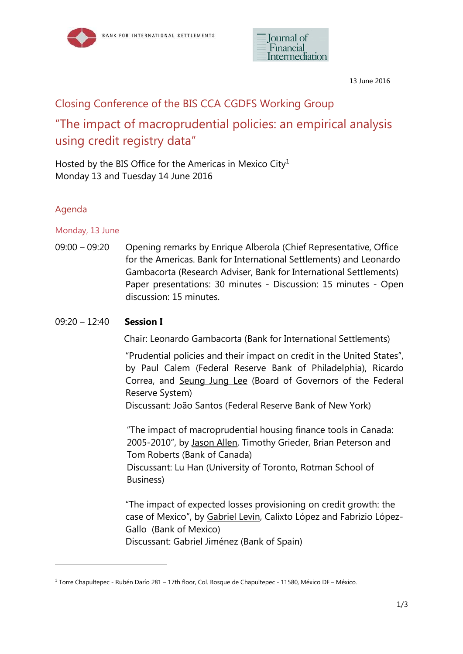



13 June 2016

# Closing Conference of the BIS CCA CGDFS Working Group "The impact of macroprudential policies: an empirical analysis using credit registry data"

Hosted by the BIS Office for the Americas in Mexico City $^1$ Monday 13 and Tuesday 14 June 2016

# Agenda

Monday, 13 June

09:00 – 09:20 Opening remarks by Enrique Alberola (Chief Representative, Office for the Americas. Bank for International Settlements) and Leonardo Gambacorta (Research Adviser, Bank for International Settlements) Paper presentations: 30 minutes - Discussion: 15 minutes - Open discussion: 15 minutes.

# 09:20 – 12:40 **Session I**

Chair: Leonardo Gambacorta (Bank for International Settlements)

"Prudential policies and their impact on credit in the United States", by Paul Calem (Federal Reserve Bank of Philadelphia), Ricardo Correa, and Seung Jung Lee (Board of Governors of the Federal Reserve System)

Discussant: João Santos (Federal Reserve Bank of New York)

"The impact of macroprudential housing finance tools in Canada: 2005-2010", by Jason Allen, Timothy Grieder, Brian Peterson and Tom Roberts (Bank of Canada) Discussant: Lu Han (University of Toronto, Rotman School of

Business)

"The impact of expected losses provisioning on credit growth: the case of Mexico", by Gabriel Levin, Calixto López and Fabrizio López-Gallo (Bank of Mexico)

Discussant: Gabriel Jiménez (Bank of Spain)

<sup>1</sup> Torre Chapultepec - Rubén Darío 281 – 17th floor, Col. Bosque de Chapultepec - 11580, México DF – México.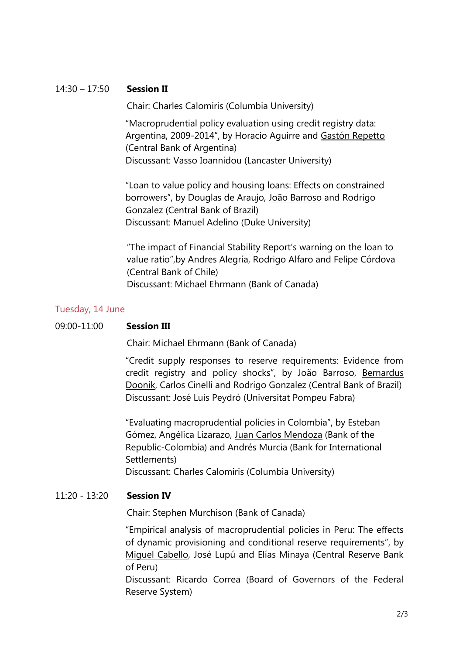## 14:30 – 17:50 **Session II**

Chair: Charles Calomiris (Columbia University)

"Macroprudential policy evaluation using credit registry data: Argentina, 2009-2014", by Horacio Aguirre and Gastón Repetto (Central Bank of Argentina) Discussant: Vasso Ioannidou (Lancaster University)

"Loan to value policy and housing loans: Effects on constrained borrowers", by Douglas de Araujo, João Barroso and Rodrigo Gonzalez (Central Bank of Brazil) Discussant: Manuel Adelino (Duke University)

"The impact of Financial Stability Report's warning on the loan to value ratio",by Andres Alegría, Rodrigo Alfaro and Felipe Córdova (Central Bank of Chile) Discussant: Michael Ehrmann (Bank of Canada)

#### Tuesday, 14 June

#### 09:00-11:00 **Session III**

Chair: Michael Ehrmann (Bank of Canada)

"Credit supply responses to reserve requirements: Evidence from credit registry and policy shocks", by João Barroso, Bernardus Doonik, Carlos Cinelli and Rodrigo Gonzalez (Central Bank of Brazil) Discussant: José Luis Peydró (Universitat Pompeu Fabra)

"Evaluating macroprudential policies in Colombia", by Esteban Gómez, Angélica Lizarazo, Juan Carlos Mendoza (Bank of the Republic-Colombia) and Andrés Murcia (Bank for International Settlements)

Discussant: Charles Calomiris (Columbia University)

### 11:20 - 13:20 **Session IV**

Chair: Stephen Murchison (Bank of Canada)

"Empirical analysis of macroprudential policies in Peru: The effects of dynamic provisioning and conditional reserve requirements", by Miguel Cabello, José Lupú and Elías Minaya (Central Reserve Bank of Peru)

Discussant: Ricardo Correa (Board of Governors of the Federal Reserve System)